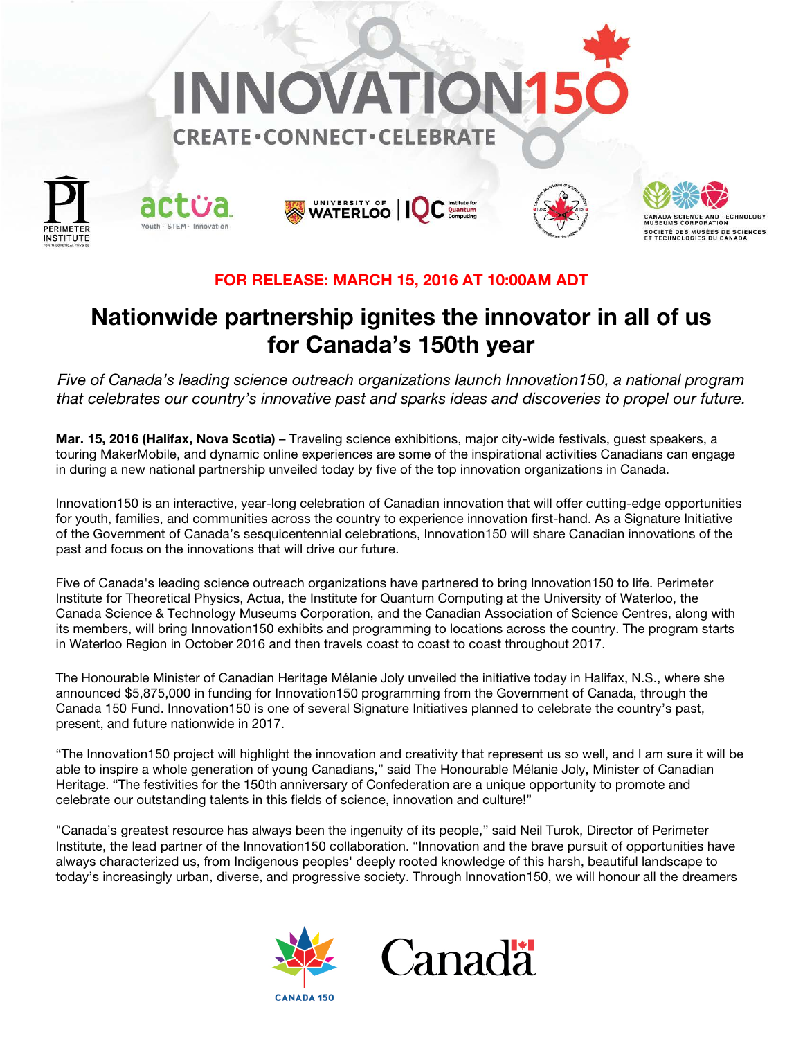











# FOR RELEASE: MARCH 15, 2016 AT 10:00AM ADT

# Nationwide partnership ignites the innovator in all of us for Canada's 150th year

*Five of Canada's leading science outreach organizations launch Innovation150, a national program that celebrates our country's innovative past and sparks ideas and discoveries to propel our future.*

Mar. 15, 2016 (Halifax, Nova Scotia) – Traveling science exhibitions, major city-wide festivals, quest speakers, a touring MakerMobile, and dynamic online experiences are some of the inspirational activities Canadians can engage in during a new national partnership unveiled today by five of the top innovation organizations in Canada.

Innovation150 is an interactive, year-long celebration of Canadian innovation that will offer cutting-edge opportunities for youth, families, and communities across the country to experience innovation first-hand. As a Signature Initiative of the Government of Canada's sesquicentennial celebrations, Innovation150 will share Canadian innovations of the past and focus on the innovations that will drive our future.

Five of Canada's leading science outreach organizations have partnered to bring Innovation150 to life. Perimeter Institute for Theoretical Physics, Actua, the Institute for Quantum Computing at the University of Waterloo, the Canada Science & Technology Museums Corporation, and the Canadian Association of Science Centres, along with its members, will bring Innovation150 exhibits and programming to locations across the country. The program starts in Waterloo Region in October 2016 and then travels coast to coast to coast throughout 2017.

The Honourable Minister of Canadian Heritage Mélanie Joly unveiled the initiative today in Halifax, N.S., where she announced \$5,875,000 in funding for Innovation150 programming from the Government of Canada, through the Canada 150 Fund. Innovation150 is one of several Signature Initiatives planned to celebrate the country's past, present, and future nationwide in 2017.

"The Innovation150 project will highlight the innovation and creativity that represent us so well, and I am sure it will be able to inspire a whole generation of young Canadians," said The Honourable Mélanie Joly, Minister of Canadian Heritage. "The festivities for the 150th anniversary of Confederation are a unique opportunity to promote and celebrate our outstanding talents in this fields of science, innovation and culture!"

"Canada's greatest resource has always been the ingenuity of its people," said Neil Turok, Director of Perimeter Institute, the lead partner of the Innovation150 collaboration. "Innovation and the brave pursuit of opportunities have always characterized us, from Indigenous peoples' deeply rooted knowledge of this harsh, beautiful landscape to today's increasingly urban, diverse, and progressive society. Through Innovation150, we will honour all the dreamers





**CANADA 150**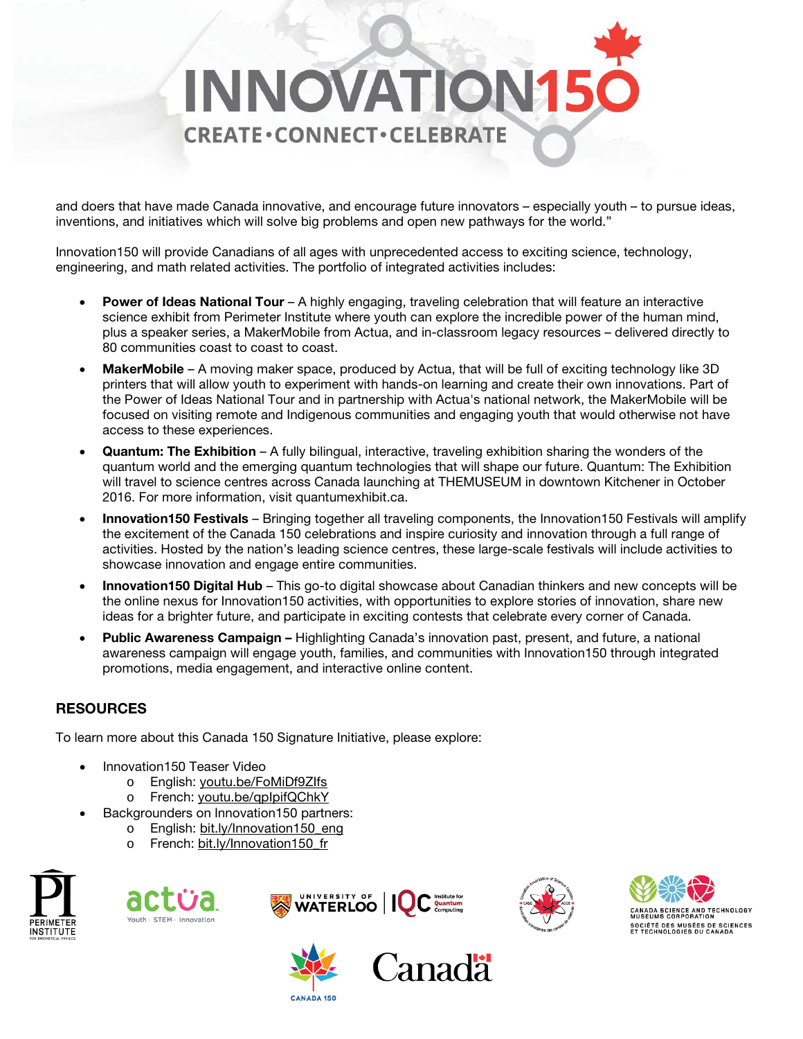

and doers that have made Canada innovative, and encourage future innovators – especially youth – to pursue ideas, inventions, and initiatives which will solve big problems and open new pathways for the world."

Innovation150 will provide Canadians of all ages with unprecedented access to exciting science, technology, engineering, and math related activities. The portfolio of integrated activities includes:

- **Power of Ideas National Tour** A highly engaging, traveling celebration that will feature an interactive science exhibit from Perimeter Institute where youth can explore the incredible power of the human mind, plus a speaker series, a MakerMobile from Actua, and in-classroom legacy resources – delivered directly to 80 communities coast to coast to coast.
- MakerMobile A moving maker space, produced by Actua, that will be full of exciting technology like 3D printers that will allow youth to experiment with hands-on learning and create their own innovations. Part of the Power of Ideas National Tour and in partnership with Actua's national network, the MakerMobile will be focused on visiting remote and Indigenous communities and engaging youth that would otherwise not have access to these experiences.
- Quantum: The Exhibition A fully bilingual, interactive, traveling exhibition sharing the wonders of the quantum world and the emerging quantum technologies that will shape our future. Quantum: The Exhibition will travel to science centres across Canada launching at THEMUSEUM in downtown Kitchener in October 2016. For more information, visit quantumexhibit.ca.
- Innovation150 Festivals Bringing together all traveling components, the Innovation150 Festivals will amplify the excitement of the Canada 150 celebrations and inspire curiosity and innovation through a full range of activities. Hosted by the nation's leading science centres, these large-scale festivals will include activities to showcase innovation and engage entire communities.
- Innovation150 Digital Hub This go-to digital showcase about Canadian thinkers and new concepts will be the online nexus for Innovation150 activities, with opportunities to explore stories of innovation, share new ideas for a brighter future, and participate in exciting contests that celebrate every corner of Canada.
- Public Awareness Campaign Highlighting Canada's innovation past, present, and future, a national awareness campaign will engage youth, families, and communities with Innovation150 through integrated promotions, media engagement, and interactive online content.

# **RESOURCES**

To learn more about this Canada 150 Signature Initiative, please explore:

- Innovation150 Teaser Video
	- o English: [youtu.be/FoMiDf9ZIfs](https://youtu.be/FoMiDf9ZIfs)
	- o French: [youtu.be/qpIpifQChkY](https://youtu.be/qpIpifQChkY)
	- Backgrounders on Innovation150 partners:
		- o English: bit.ly/Innovation150 eng
		- French: [bit.ly/Innovation150\\_fr](http://bit.ly/Innovation150_fr)







**CANADA 150** 





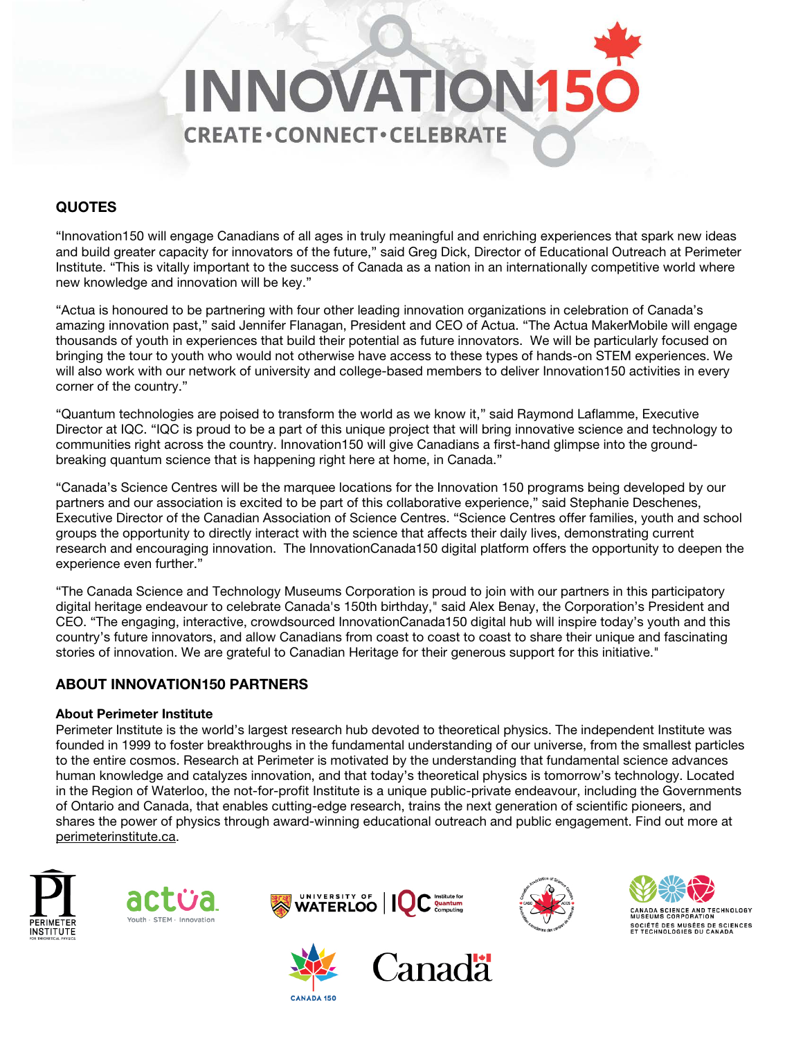

## **QUOTES**

"Innovation150 will engage Canadians of all ages in truly meaningful and enriching experiences that spark new ideas and build greater capacity for innovators of the future," said Greg Dick, Director of Educational Outreach at Perimeter Institute. "This is vitally important to the success of Canada as a nation in an internationally competitive world where new knowledge and innovation will be key."

"Actua is honoured to be partnering with four other leading innovation organizations in celebration of Canada's amazing innovation past," said Jennifer Flanagan, President and CEO of Actua. "The Actua MakerMobile will engage thousands of youth in experiences that build their potential as future innovators. We will be particularly focused on bringing the tour to youth who would not otherwise have access to these types of hands-on STEM experiences. We will also work with our network of university and college-based members to deliver Innovation150 activities in every corner of the country."

"Quantum technologies are poised to transform the world as we know it," said Raymond Laflamme, Executive Director at IQC. "IQC is proud to be a part of this unique project that will bring innovative science and technology to communities right across the country. Innovation150 will give Canadians a first-hand glimpse into the groundbreaking quantum science that is happening right here at home, in Canada."

"Canada's Science Centres will be the marquee locations for the Innovation 150 programs being developed by our partners and our association is excited to be part of this collaborative experience," said Stephanie Deschenes, Executive Director of the Canadian Association of Science Centres. "Science Centres offer families, youth and school groups the opportunity to directly interact with the science that affects their daily lives, demonstrating current research and encouraging innovation. The InnovationCanada150 digital platform offers the opportunity to deepen the experience even further."

"The Canada Science and Technology Museums Corporation is proud to join with our partners in this participatory digital heritage endeavour to celebrate Canada's 150th birthday," said Alex Benay, the Corporation's President and CEO. "The engaging, interactive, crowdsourced InnovationCanada150 digital hub will inspire today's youth and this country's future innovators, and allow Canadians from coast to coast to coast to share their unique and fascinating stories of innovation. We are grateful to Canadian Heritage for their generous support for this initiative."

### ABOUT INNOVATION150 PARTNERS

### About Perimeter Institute

Perimeter Institute is the world's largest research hub devoted to theoretical physics. The independent Institute was founded in 1999 to foster breakthroughs in the fundamental understanding of our universe, from the smallest particles to the entire cosmos. Research at Perimeter is motivated by the understanding that fundamental science advances human knowledge and catalyzes innovation, and that today's theoretical physics is tomorrow's technology. Located in the Region of Waterloo, the not-for-profit Institute is a unique public-private endeavour, including the Governments of Ontario and Canada, that enables cutting-edge research, trains the next generation of scientific pioneers, and shares the power of physics through award-winning educational outreach and public engagement. Find out more at [perimeterinstitute.ca.](http://www.perimeterinstitute.ca/)













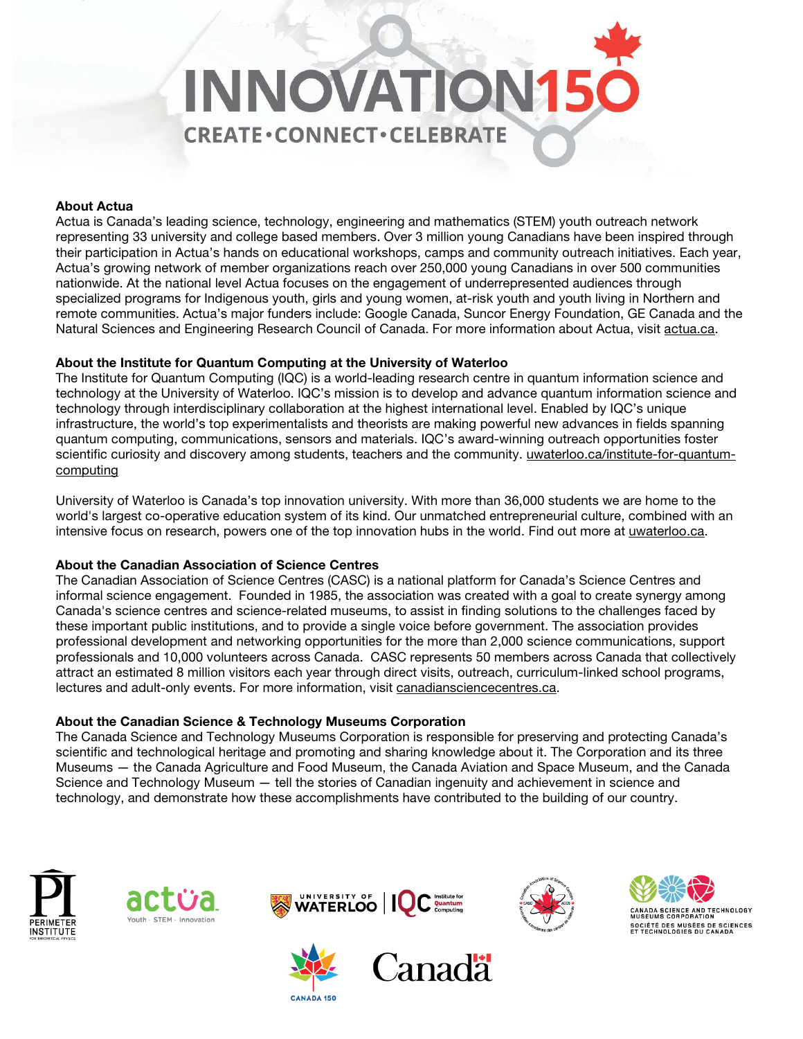# **INNOVATION15 CREATE·CONNECT·CELEBRATE**

### About Actua

Actua is Canada's leading science, technology, engineering and mathematics (STEM) youth outreach network representing 33 university and college based members. Over 3 million young Canadians have been inspired through their participation in Actua's hands on educational workshops, camps and community outreach initiatives. Each year, Actua's growing network of member organizations reach over 250,000 young Canadians in over 500 communities nationwide. At the national level Actua focuses on the engagement of underrepresented audiences through specialized programs for Indigenous youth, girls and young women, at-risk youth and youth living in Northern and remote communities. Actua's major funders include: Google Canada, Suncor Energy Foundation, GE Canada and the Natural Sciences and Engineering Research Council of Canada. For more information about Actua, visit [actua.ca.](http://www.actua.ca/)

### About the Institute for Quantum Computing at the University of Waterloo

The Institute for Quantum Computing (IQC) is a world-leading research centre in quantum information science and technology at the University of Waterloo. IQC's mission is to develop and advance quantum information science and technology through interdisciplinary collaboration at the highest international level. Enabled by IQC's unique infrastructure, the world's top experimentalists and theorists are making powerful new advances in fields spanning quantum computing, communications, sensors and materials. IQC's award-winning outreach opportunities foster scientific curiosity and discovery among students, teachers and the community. [uwaterloo.ca/institute-for-quantum](https://uwaterloo.ca/institute-for-quantum-computing/)[computing](https://uwaterloo.ca/institute-for-quantum-computing/)

University of Waterloo is Canada's top innovation university. With more than 36,000 students we are home to the world's largest co-operative education system of its kind. Our unmatched entrepreneurial culture, combined with an intensive focus on research, powers one of the top innovation hubs in the world. Find out more at [uwaterloo.ca.](https://www.uwaterloo.ca/)

### About the Canadian Association of Science Centres

The Canadian Association of Science Centres (CASC) is a national platform for Canada's Science Centres and informal science engagement. Founded in 1985, the association was created with a goal to create synergy among Canada's science centres and science-related museums, to assist in finding solutions to the challenges faced by these important public institutions, and to provide a single voice before government. The association provides professional development and networking opportunities for the more than 2,000 science communications, support professionals and 10,000 volunteers across Canada. CASC represents 50 members across Canada that collectively attract an estimated 8 million visitors each year through direct visits, outreach, curriculum-linked school programs, lectures and adult-only events. For more information, visit [canadiansciencecentres.ca.](http://www.canadiansciencecentres.ca/)

### About the Canadian Science & Technology Museums Corporation

The Canada Science and Technology Museums Corporation is responsible for preserving and protecting Canada's scientific and technological heritage and promoting and sharing knowledge about it. The Corporation and its three Museums — the Canada Agriculture and Food Museum, the Canada Aviation and Space Museum, and the Canada Science and Technology Museum — tell the stories of Canadian ingenuity and achievement in science and technology, and demonstrate how these accomplishments have contributed to the building of our country.